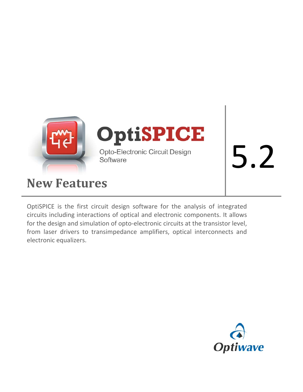

# **New Features**

OptiSPICE is the first circuit design software for the analysis of integrated circuits including interactions of optical and electronic components. It allows for the design and simulation of opto-electronic circuits at the transistor level, from laser drivers to transimpedance amplifiers, optical interconnects and electronic equalizers.

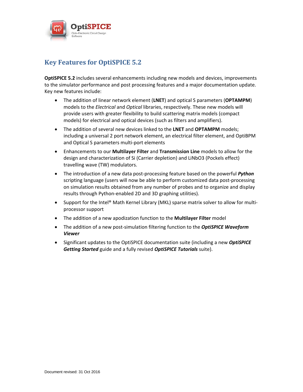

# **Key Features for OptiSPICE 5.2**

**OptiSPICE 5.2** includes several enhancements including new models and devices, improvements to the simulator performance and post processing features and a major documentation update. Key new features include:

- The addition of linear network element (**LNET**) and optical S parameters (**OPTAMPM**) models to the *Electrical* and *Optical* libraries, respectively. These new models will provide users with greater flexibility to build scattering matrix models (compact models) for electrical and optical devices (such as filters and amplifiers).
- The addition of several new devices linked to the **LNET** and **OPTAMPM** models; including a universal 2 port network element, an electrical filter element, and OptiBPM and Optical S parameters multi-port elements
- Enhancements to our **Multilayer Filter** and **Transmission Line** models to allow for the design and characterization of Si (Carrier depletion) and LiNbO3 (Pockels effect) travelling wave (TW) modulators.
- The introduction of a new data post-processing feature based on the powerful *Python* scripting language (users will now be able to perform customized data post-processing on simulation results obtained from any number of probes and to organize and display results through Python-enabled 2D and 3D graphing utilities).
- Support for the Intel® Math Kernel Library (MKL) sparse matrix solver to allow for multiprocessor support
- The addition of a new apodization function to the **Multilayer Filter** model
- The addition of a new post-simulation filtering function to the *OptiSPICE Waveform Viewer*
- Significant updates to the OptiSPICE documentation suite (including a new *OptiSPICE Getting Started* guide and a fully revised *OptiSPICE Tutorials* suite).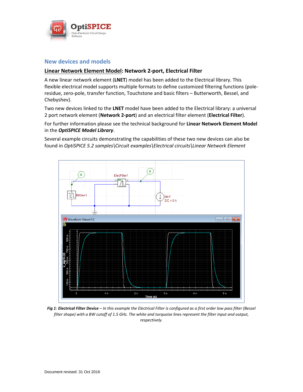

#### **New devices and models**

#### **Linear Network Element Model: Network 2-port, Electrical Filter**

A new linear network element (**LNET**) model has been added to the Electrical library. This flexible electrical model supports multiple formats to define customized filtering functions (poleresidue, zero-pole, transfer function, Touchstone and basic filters – Butterworth, Bessel, and Chebyshev).

Two new devices linked to the **LNET** model have been added to the Electrical library: a universal 2 port network element (**Network 2-port**) and an electrical filter element (**Electrical Filter**).

For further information please see the technical background for **Linear Network Element Model** in the *OptiSPICE Model Library*.

Several example circuits demonstrating the capabilities of these two new devices can also be found in *OptiSPICE 5.2 samples\Circuit examples\Electrical circuits\Linear Network Element*



*Fig 1: Electrical Filter Device* – *In this example the Electrical Filter is configured as a first order low pass filter (Bessel filter shape) with a BW cutoff of 1.5 GHz. The white and turquoise lines represent the filter input and output, respectively.*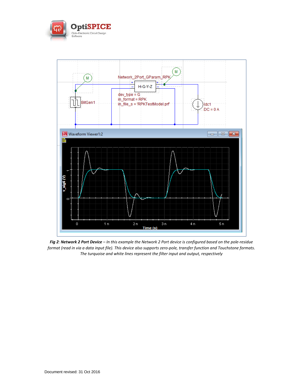



*Fig 2: Network 2 Port Device* – *In this example the Network 2 Port device is configured based on the pole-residue format (read in via a data input file). This device also supports zero-pole, transfer function and Touchstone formats. The turquoise and white lines represent the filter input and output, respectively*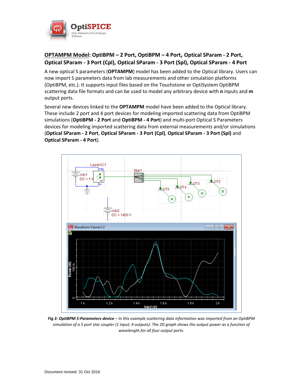

## **OPTAMPM Model: OptiBPM – 2 Port, OptiBPM – 4 Port, Optical SParam - 2 Port, Optical SParam - 3 Port (Cpl), Optical SParam - 3 Port (Spl), Optical SParam - 4 Port**

A new optical S parameters (**OPTAMPM**) model has been added to the Optical library. Users can now import S parameters data from lab measurements and other simulation platforms (OptiBPM, etc.). It supports input files based on the Touchstone or OptiSystem OptiBPM scattering data file formats and can be used to model any arbitrary device with **n** inputs and **m** output ports.

Several new devices linked to the **OPTAMPM** model have been added to the Optical library. These include 2 port and 4 port devices for modeling imported scattering data from OptiBPM simulations (**OptiBPM - 2 Port** and **OptiBPM - 4 Port**) and multi-port Optical S Parameters devices for modeling imported scattering data from external measurements and/or simulations (**Optical SParam - 2 Port**, **Optical SParam - 3 Port (Cpl)**, **Optical SParam - 3 Port (Spl)** and **Optical SParam - 4 Port**).



*Fig 3: OptiBPM S-Parameters device* – *In this example scattering data information was imported from an OptiBPM simulation of a 5 port star coupler (1 input; 4 outputs). The 2D graph shows the output power as a function of wavelength for all four output ports.*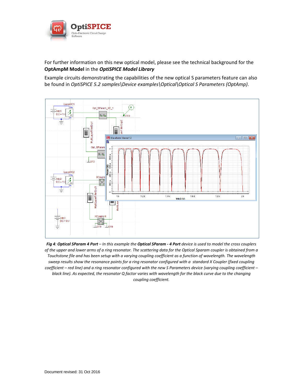

For further information on this new optical model, please see the technical background for the **OptAmpM Model** in the *OptiSPICE Model Library*

Example circuits demonstrating the capabilities of the new optical S parameters feature can also be found in *OptiSPICE 5.2 samples\Device examples\Optical\Optical S Parameters (OptAmp)*.



*Fig 4: Optical SParam 4 Port* – *In this example the Optical SParam - 4 Port device is used to model the cross couplers of the upper and lower arms of a ring resonator. The scattering data for the Optical Sparam coupler is obtained from a Touchstone file and has been setup with a varying coupling coefficient as a function of wavelength. The wavelength sweep results show the resonance points for a ring resonator configured with a standard X Coupler (fixed coupling coefficient – red line) and a ring resonator configured with the new S Parameters device (varying coupling coefficient – black line). As expected, the resonator Q factor varies with wavelength for the black curve due to the changing coupling coefficient.*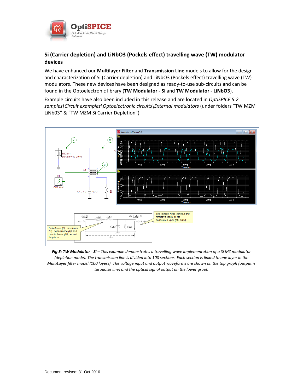

### **Si (Carrier depletion) and LiNbO3 (Pockels effect) travelling wave (TW) modulator devices**

We have enhanced our **Multilayer Filter** and **Transmission Line** models to allow for the design and characterization of Si (Carrier depletion) and LiNbO3 (Pockels effect) travelling wave (TW) modulators. These new devices have been designed as ready-to-use sub-circuits and can be found in the Optoelectronic library (**TW Modulator - Si** and **TW Modulator - LiNbO3**).

Example circuits have also been included in this release and are located in *OptiSPICE 5.2 samples\Circuit examples\Optoelectronic circuits\External modulators* (under folders "TW MZM LiNb03" & "TW MZM Si Carrier Depletion")



*Fig 5: TW Modulator - Si* – *This example demonstrates a travelling wave implementation of a Si MZ modulator (depletion mode). The transmission line is divided into 100 sections. Each section is linked to one layer in the MultiLayer filter model (100 layers). The voltage input and output waveforms are shown on the top graph (output is turquoise line) and the optical signal output on the lower graph*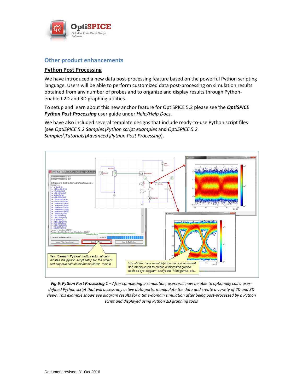

#### **Other product enhancements**

#### **Python Post Processing**

We have introduced a new data post-processing feature based on the powerful Python scripting language. Users will be able to perform customized data post-processing on simulation results obtained from any number of probes and to organize and display results through Pythonenabled 2D and 3D graphing utilities.

To setup and learn about this new anchor feature for OptiSPICE 5.2 please see the *OptiSPICE Python Post Processing* user guide under *Help/Help Docs*.

We have also included several template designs that include ready-to-use Python script files (see *OptiSPICE 5.2 Samples\Python script examples* and *OptiSPICE 5.2 Samples\Tutorials\Advanced\Python Post Processing*).



*Fig 6: Python Post Processing 1* – *After completing a simulation, users will now be able to optionally call a userdefined Python script that will access any active data ports, manipulate the data and create a variety of 2D and 3D views. This example shows eye diagram results for a time-domain simulation after being post-processed by a Python script and displayed using Python 2D graphing tools*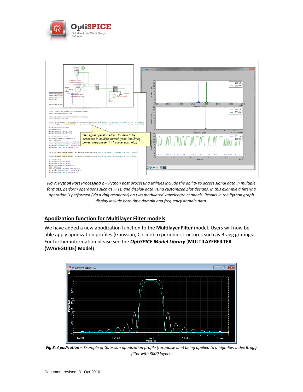



*Fig 7: Python Post Processing 2* – *Python post processing utilities include the ability to access signal data in multiple formats, perform operations such as FFTs, and display data using customized plot designs. In this example a filtering operation is performed (via a ring resonator) on two modulated wavelength channels. Results in the Python graph display include both time domain and frequency domain data.*

#### **Apodization function for Multilayer Filter models**

We have added a new apodization function to the **Multilayer Filter** model. Users will now be able apply apodization profiles (Gaussian, Cosine) to periodic structures such as Bragg gratings. For further information please see the *OptiSPICE Model Library* (**MULTILAYERFILTER (WAVEGUIDE) Model**)



*Fig 8: Apodization* – *Example of Gaussian apodization profile (turquoise line) being applied to a high-low index Bragg filter with 3000 layers.*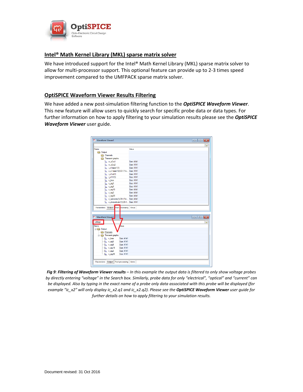

#### **Intel® Math Kernel Library (MKL) sparse matrix solver**

We have introduced support for the Intel® Math Kernel Library (MKL) sparse matrix solver to allow for multi-processor support. This optional feature can provide up to 2-3 times speed improvement compared to the UMFPACK sparse matrix solver.

#### **OptiSPICE Waveform Viewer Results Filtering**

We have added a new post-simulation filtering function to the *OptiSPICE Waveform Viewer*. This new feature will allow users to quickly search for specific probe data or data types. For further information on how to apply filtering to your simulation results please see the *OptiSPICE Waveform Viewer* user guide.



*Fig 9: Filtering of Waveform Viewer results* – *In this example the output data is filtered to only show voltage probes by directly entering "voltage" in the Search box. Similarly, probe data for only "electrical", "optical" and "current" can be displayed. Also by typing in the exact name of a probe only data associated with this probe will be displayed (for example "ic\_x2" will only display ic\_x2.q1 and ic\_x2.q2). Please see the OptiSPICE Waveform Viewer user guide for further details on how to apply filtering to your simulation results.*